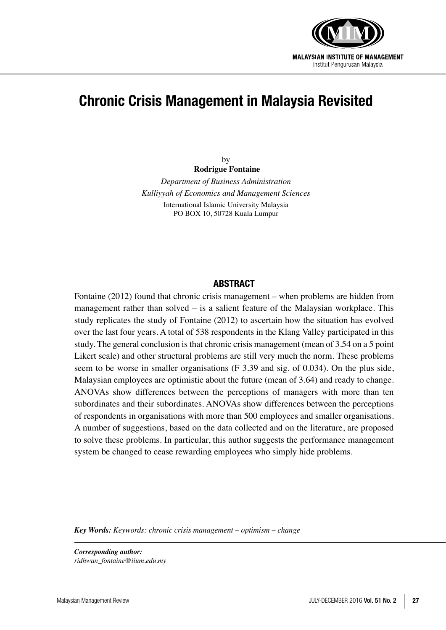

# **Chronic Crisis Management in Malaysia Revisited**

by **Rodrigue Fontaine** *Department of Business Administration*

*Kulliyyah of Economics and Management Sciences* International Islamic University Malaysia PO BOX 10, 50728 Kuala Lumpur

#### **ABSTRACT**

Fontaine (2012) found that chronic crisis management – when problems are hidden from management rather than solved – is a salient feature of the Malaysian workplace. This study replicates the study of Fontaine (2012) to ascertain how the situation has evolved over the last four years. A total of 538 respondents in the Klang Valley participated in this study. The general conclusion is that chronic crisis management (mean of 3.54 on a 5 point Likert scale) and other structural problems are still very much the norm. These problems seem to be worse in smaller organisations (F 3.39 and sig. of 0.034). On the plus side, Malaysian employees are optimistic about the future (mean of 3.64) and ready to change. ANOVAs show differences between the perceptions of managers with more than ten subordinates and their subordinates. ANOVAs show differences between the perceptions of respondents in organisations with more than 500 employees and smaller organisations. A number of suggestions, based on the data collected and on the literature, are proposed to solve these problems. In particular, this author suggests the performance management system be changed to cease rewarding employees who simply hide problems.

*Key Words: Keywords: chronic crisis management – optimism – change*

*Corresponding author: ridhwan\_fontaine@iium.edu.my*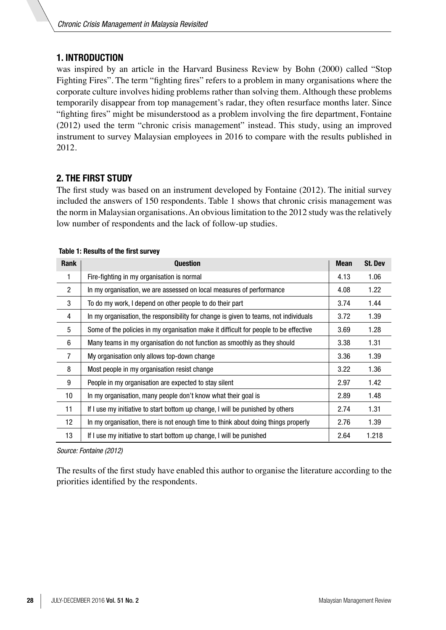# **1. INTRODUCTION**

was inspired by an article in the Harvard Business Review by Bohn (2000) called "Stop Fighting Fires". The term "fighting fires" refers to a problem in many organisations where the corporate culture involves hiding problems rather than solving them. Although these problems temporarily disappear from top management's radar, they often resurface months later. Since "fighting fires" might be misunderstood as a problem involving the fire department, Fontaine (2012) used the term "chronic crisis management" instead. This study, using an improved instrument to survey Malaysian employees in 2016 to compare with the results published in 2012.

# **2. THE FIRST STUDY**

The first study was based on an instrument developed by Fontaine (2012). The initial survey included the answers of 150 respondents. Table 1 shows that chronic crisis management was the norm in Malaysian organisations. An obvious limitation to the 2012 study was the relatively low number of respondents and the lack of follow-up studies.

| Rank            | <b>Question</b>                                                                      | <b>Mean</b> | <b>St. Dev</b> |
|-----------------|--------------------------------------------------------------------------------------|-------------|----------------|
| 1               | Fire-fighting in my organisation is normal                                           | 4.13        | 1.06           |
| 2               | In my organisation, we are assessed on local measures of performance                 | 4.08        | 1.22           |
| 3               | To do my work, I depend on other people to do their part                             | 3.74        | 1.44           |
| 4               | In my organisation, the responsibility for change is given to teams, not individuals | 3.72        | 1.39           |
| 5               | Some of the policies in my organisation make it difficult for people to be effective | 3.69        | 1.28           |
| 6               | Many teams in my organisation do not function as smoothly as they should             | 3.38        | 1.31           |
| 7               | My organisation only allows top-down change                                          | 3.36        | 1.39           |
| 8               | Most people in my organisation resist change                                         | 3.22        | 1.36           |
| 9               | People in my organisation are expected to stay silent                                | 2.97        | 1.42           |
| 10 <sup>1</sup> | In my organisation, many people don't know what their goal is                        | 2.89        | 1.48           |
| 11              | If I use my initiative to start bottom up change, I will be punished by others       | 2.74        | 1.31           |
| 12              | In my organisation, there is not enough time to think about doing things properly    | 2.76        | 1.39           |
| 13              | If I use my initiative to start bottom up change, I will be punished                 | 2.64        | 1.218          |

#### **Table 1: Results of the first survey**

*Source: Fontaine (2012)*

The results of the first study have enabled this author to organise the literature according to the priorities identified by the respondents.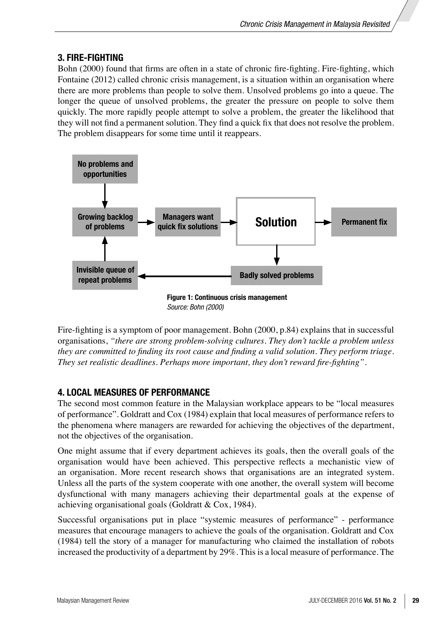# **3. FIRE-FIGHTING**

Bohn (2000) found that firms are often in a state of chronic fire-fighting. Fire-fighting, which Fontaine (2012) called chronic crisis management, is a situation within an organisation where there are more problems than people to solve them. Unsolved problems go into a queue. The longer the queue of unsolved problems, the greater the pressure on people to solve them quickly. The more rapidly people attempt to solve a problem, the greater the likelihood that they will not find a permanent solution. They find a quick fix that does not resolve the problem. The problem disappears for some time until it reappears.



Fire-fighting is a symptom of poor management. Bohn (2000, p.84) explains that in successful organisations, *"there are strong problem-solving cultures. They don't tackle a problem unless they are committed to finding its root cause and finding a valid solution. They perform triage. They set realistic deadlines. Perhaps more important, they don't reward fire-fighting"*.

# **4. LOCAL MEASURES OF PERFORMANCE**

The second most common feature in the Malaysian workplace appears to be "local measures of performance". Goldratt and Cox (1984) explain that local measures of performance refers to the phenomena where managers are rewarded for achieving the objectives of the department, not the objectives of the organisation.

One might assume that if every department achieves its goals, then the overall goals of the organisation would have been achieved. This perspective reflects a mechanistic view of an organisation. More recent research shows that organisations are an integrated system. Unless all the parts of the system cooperate with one another, the overall system will become dysfunctional with many managers achieving their departmental goals at the expense of achieving organisational goals (Goldratt & Cox, 1984).

Successful organisations put in place "systemic measures of performance" - performance measures that encourage managers to achieve the goals of the organisation. Goldratt and Cox (1984) tell the story of a manager for manufacturing who claimed the installation of robots increased the productivity of a department by 29%. This is a local measure of performance. The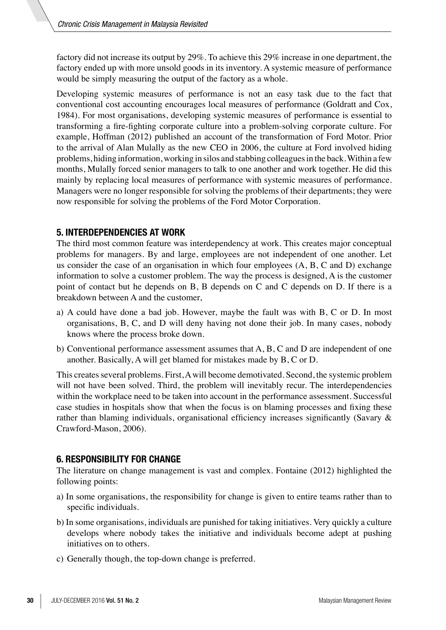factory did not increase its output by 29%. To achieve this 29% increase in one department, the factory ended up with more unsold goods in its inventory. A systemic measure of performance would be simply measuring the output of the factory as a whole.

Developing systemic measures of performance is not an easy task due to the fact that conventional cost accounting encourages local measures of performance (Goldratt and Cox, 1984). For most organisations, developing systemic measures of performance is essential to transforming a fire-fighting corporate culture into a problem-solving corporate culture. For example, Hoffman (2012) published an account of the transformation of Ford Motor. Prior to the arrival of Alan Mulally as the new CEO in 2006, the culture at Ford involved hiding problems, hiding information, working in silos and stabbing colleagues in the back. Within a few months, Mulally forced senior managers to talk to one another and work together. He did this mainly by replacing local measures of performance with systemic measures of performance. Managers were no longer responsible for solving the problems of their departments; they were now responsible for solving the problems of the Ford Motor Corporation.

#### **5. INTERDEPENDENCIES AT WORK**

The third most common feature was interdependency at work. This creates major conceptual problems for managers. By and large, employees are not independent of one another. Let us consider the case of an organisation in which four employees (A, B, C and D) exchange information to solve a customer problem. The way the process is designed, A is the customer point of contact but he depends on B, B depends on C and C depends on D. If there is a breakdown between A and the customer,

- a) A could have done a bad job. However, maybe the fault was with B, C or D. In most organisations, B, C, and D will deny having not done their job. In many cases, nobody knows where the process broke down.
- b) Conventional performance assessment assumes that  $A, B, C$  and  $D$  are independent of one another. Basically, A will get blamed for mistakes made by B, C or D.

This creates several problems. First, A will become demotivated. Second, the systemic problem will not have been solved. Third, the problem will inevitably recur. The interdependencies within the workplace need to be taken into account in the performance assessment. Successful case studies in hospitals show that when the focus is on blaming processes and fixing these rather than blaming individuals, organisational efficiency increases significantly (Savary & Crawford-Mason, 2006).

#### **6. RESPONSIBILITY FOR CHANGE**

The literature on change management is vast and complex. Fontaine (2012) highlighted the following points:

- a) In some organisations, the responsibility for change is given to entire teams rather than to specific individuals.
- b) In some organisations, individuals are punished for taking initiatives. Very quickly a culture develops where nobody takes the initiative and individuals become adept at pushing initiatives on to others.
- c) Generally though, the top-down change is preferred.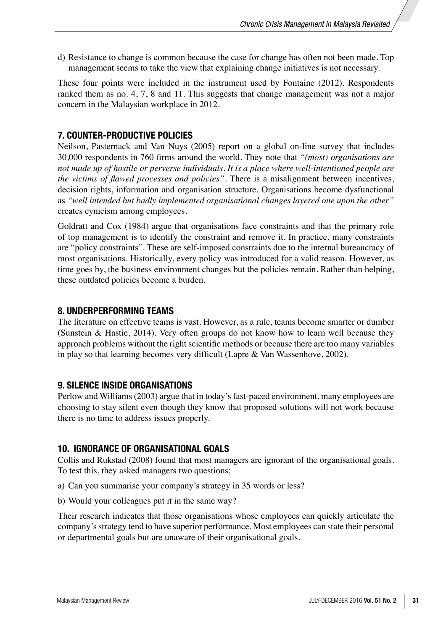d) Resistance to change is common because the case for change has often not been made. Top management seems to take the view that explaining change initiatives is not necessary.

These four points were included in the instrument used by Fontaine (2012). Respondents ranked them as no. 4, 7, 8 and 11. This suggests that change management was not a major concern in the Malaysian workplace in 2012.

#### **7. COUNTER-PRODUCTIVE POLICIES**

Neilson, Pasternack and Van Nuys (2005) report on a global on-line survey that includes 30,000 respondents in 760 firms around the world. They note that *"(most) organisations are not made up of hostile or perverse individuals. It is a place where well-intentioned people are the victims of flawed processes and policies"*. There is a misalignment between incentives, decision rights, information and organisation structure. Organisations become dysfunctional as *"well intended but badly implemented organisational changes layered one upon the other"* creates cynicism among employees.

Goldratt and Cox (1984) argue that organisations face constraints and that the primary role of top management is to identify the constraint and remove it. In practice, many constraints are "policy constraints". These are self-imposed constraints due to the internal bureaucracy of most organisations. Historically, every policy was introduced for a valid reason. However, as time goes by, the business environment changes but the policies remain. Rather than helping, these outdated policies become a burden.

#### **8. UNDERPERFORMING TEAMS**

The literature on effective teams is vast. However, as a rule, teams become smarter or dumber (Sunstein & Hastie, 2014). Very often groups do not know how to learn well because they approach problems without the right scientific methods or because there are too many variables in play so that learning becomes very difficult (Lapre & Van Wassenhove, 2002).

#### **9. SILENCE INSIDE ORGANISATIONS**

Perlow and Williams (2003) argue that in today's fast-paced environment, many employees are choosing to stay silent even though they know that proposed solutions will not work because there is no time to address issues properly.

#### **10. IGNORANCE OF ORGANISATIONAL GOALS**

Collis and Rukstad (2008) found that most managers are ignorant of the organisational goals. To test this, they asked managers two questions;

a) Can you summarise your company's strategy in 35 words or less?

b) Would your colleagues put it in the same way?

Their research indicates that those organisations whose employees can quickly articulate the company's strategy tend to have superior performance. Most employees can state their personal or departmental goals but are unaware of their organisational goals.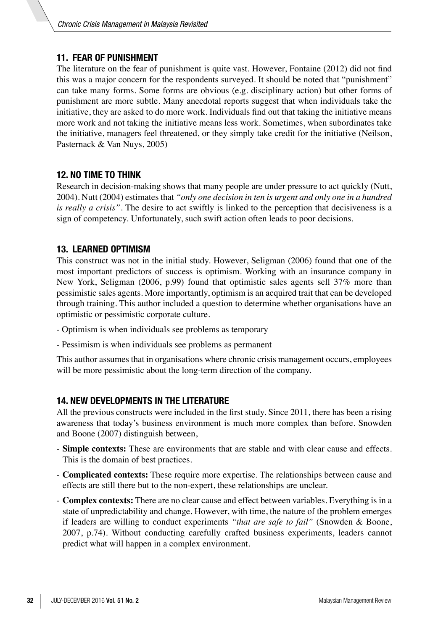## **11. FEAR OF PUNISHMENT**

The literature on the fear of punishment is quite vast. However, Fontaine (2012) did not find this was a major concern for the respondents surveyed. It should be noted that "punishment" can take many forms. Some forms are obvious (e.g. disciplinary action) but other forms of punishment are more subtle. Many anecdotal reports suggest that when individuals take the initiative, they are asked to do more work. Individuals find out that taking the initiative means more work and not taking the initiative means less work. Sometimes, when subordinates take the initiative, managers feel threatened, or they simply take credit for the initiative (Neilson, Pasternack & Van Nuys, 2005)

## **12. NO TIME TO THINK**

Research in decision-making shows that many people are under pressure to act quickly (Nutt, 2004). Nutt (2004) estimates that *"only one decision in ten is urgent and only one in a hundred is really a crisis"*. The desire to act swiftly is linked to the perception that decisiveness is a sign of competency. Unfortunately, such swift action often leads to poor decisions.

## **13. LEARNED OPTIMISM**

This construct was not in the initial study. However, Seligman (2006) found that one of the most important predictors of success is optimism. Working with an insurance company in New York, Seligman (2006, p.99) found that optimistic sales agents sell 37% more than pessimistic sales agents. More importantly, optimism is an acquired trait that can be developed through training. This author included a question to determine whether organisations have an optimistic or pessimistic corporate culture.

- Optimism is when individuals see problems as temporary
- Pessimism is when individuals see problems as permanent

This author assumes that in organisations where chronic crisis management occurs, employees will be more pessimistic about the long-term direction of the company.

#### **14. NEW DEVELOPMENTS IN THE LITERATURE**

All the previous constructs were included in the first study. Since 2011, there has been a rising awareness that today's business environment is much more complex than before. Snowden and Boone (2007) distinguish between,

- **Simple contexts:** These are environments that are stable and with clear cause and effects. This is the domain of best practices.
- **Complicated contexts:** These require more expertise. The relationships between cause and effects are still there but to the non-expert, these relationships are unclear.
- **Complex contexts:** There are no clear cause and effect between variables. Everything is in a state of unpredictability and change. However, with time, the nature of the problem emerges if leaders are willing to conduct experiments *"that are safe to fail"* (Snowden & Boone, 2007, p.74). Without conducting carefully crafted business experiments, leaders cannot predict what will happen in a complex environment.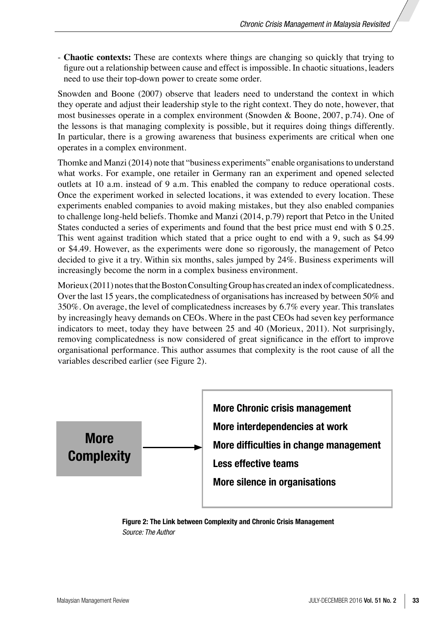- **Chaotic contexts:** These are contexts where things are changing so quickly that trying to figure out a relationship between cause and effect is impossible. In chaotic situations, leaders need to use their top-down power to create some order.

Snowden and Boone (2007) observe that leaders need to understand the context in which they operate and adjust their leadership style to the right context. They do note, however, that most businesses operate in a complex environment (Snowden & Boone, 2007, p.74). One of the lessons is that managing complexity is possible, but it requires doing things differently. In particular, there is a growing awareness that business experiments are critical when one operates in a complex environment.

Thomke and Manzi (2014) note that "business experiments" enable organisations to understand what works. For example, one retailer in Germany ran an experiment and opened selected outlets at 10 a.m. instead of 9 a.m. This enabled the company to reduce operational costs. Once the experiment worked in selected locations, it was extended to every location. These experiments enabled companies to avoid making mistakes, but they also enabled companies to challenge long-held beliefs. Thomke and Manzi (2014, p.79) report that Petco in the United States conducted a series of experiments and found that the best price must end with \$ 0.25. This went against tradition which stated that a price ought to end with a 9, such as \$4.99 or \$4.49. However, as the experiments were done so rigorously, the management of Petco decided to give it a try. Within six months, sales jumped by 24%. Business experiments will increasingly become the norm in a complex business environment.

Morieux (2011) notes that the Boston Consulting Group has created an index of complicatedness. Over the last 15 years, the complicatedness of organisations has increased by between 50% and 350%. On average, the level of complicatedness increases by 6.7% every year. This translates by increasingly heavy demands on CEOs. Where in the past CEOs had seven key performance indicators to meet, today they have between 25 and 40 (Morieux, 2011). Not surprisingly, removing complicatedness is now considered of great significance in the effort to improve organisational performance. This author assumes that complexity is the root cause of all the variables described earlier (see Figure 2).



**Figure 2: The Link between Complexity and Chronic Crisis Management** *Source: The Author*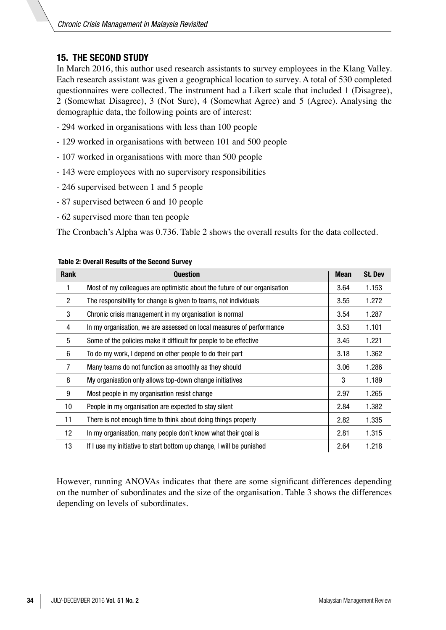# **15. THE SECOND STUDY**

In March 2016, this author used research assistants to survey employees in the Klang Valley. Each research assistant was given a geographical location to survey. A total of 530 completed questionnaires were collected. The instrument had a Likert scale that included 1 (Disagree), 2 (Somewhat Disagree), 3 (Not Sure), 4 (Somewhat Agree) and 5 (Agree). Analysing the demographic data, the following points are of interest:

- 294 worked in organisations with less than 100 people
- 129 worked in organisations with between 101 and 500 people
- 107 worked in organisations with more than 500 people
- 143 were employees with no supervisory responsibilities
- 246 supervised between 1 and 5 people
- 87 supervised between 6 and 10 people
- 62 supervised more than ten people

The Cronbach's Alpha was 0.736. Table 2 shows the overall results for the data collected.

| Rank           | <b>Question</b>                                                           | <b>Mean</b> | <b>St. Dev</b> |
|----------------|---------------------------------------------------------------------------|-------------|----------------|
| 1              | Most of my colleagues are optimistic about the future of our organisation | 3.64        | 1.153          |
| $\overline{2}$ | The responsibility for change is given to teams, not individuals          | 3.55        | 1.272          |
| 3              | Chronic crisis management in my organisation is normal                    | 3.54        | 1.287          |
| 4              | In my organisation, we are assessed on local measures of performance      | 3.53        | 1.101          |
| 5              | Some of the policies make it difficult for people to be effective         | 3.45        | 1.221          |
| 6              | To do my work, I depend on other people to do their part                  | 3.18        | 1.362          |
| $\overline{7}$ | Many teams do not function as smoothly as they should                     | 3.06        | 1.286          |
| 8              | My organisation only allows top-down change initiatives                   | 3           | 1.189          |
| 9              | Most people in my organisation resist change                              | 2.97        | 1.265          |
| 10             | People in my organisation are expected to stay silent                     | 2.84        | 1.382          |
| 11             | There is not enough time to think about doing things properly             | 2.82        | 1.335          |
| 12             | In my organisation, many people don't know what their goal is             | 2.81        | 1.315          |
| 13             | If I use my initiative to start bottom up change, I will be punished      | 2.64        | 1.218          |

#### **Table 2: Overall Results of the Second Survey**

However, running ANOVAs indicates that there are some significant differences depending on the number of subordinates and the size of the organisation. Table 3 shows the differences depending on levels of subordinates.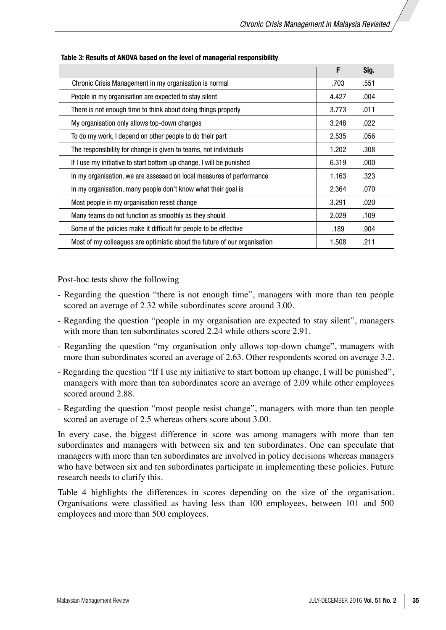|                                                                           | F     | Sig. |
|---------------------------------------------------------------------------|-------|------|
| Chronic Crisis Management in my organisation is normal                    | .703  | .551 |
| People in my organisation are expected to stay silent                     | 4.427 | .004 |
| There is not enough time to think about doing things properly             | 3.773 | .011 |
| My organisation only allows top-down changes                              | 3.248 | .022 |
| To do my work, I depend on other people to do their part                  | 2.535 | .056 |
| The responsibility for change is given to teams, not individuals          | 1.202 | .308 |
| If I use my initiative to start bottom up change, I will be punished      | 6.319 | .000 |
| In my organisation, we are assessed on local measures of performance      | 1.163 | .323 |
| In my organisation, many people don't know what their goal is             | 2.364 | .070 |
| Most people in my organisation resist change                              | 3.291 | .020 |
| Many teams do not function as smoothly as they should                     | 2.029 | .109 |
| Some of the policies make it difficult for people to be effective         | .189  | .904 |
| Most of my colleagues are optimistic about the future of our organisation | 1.508 | .211 |

#### **Table 3: Results of ANOVA based on the level of managerial responsibility**

Post-hoc tests show the following

- Regarding the question "there is not enough time", managers with more than ten people scored an average of 2.32 while subordinates score around 3.00.
- Regarding the question "people in my organisation are expected to stay silent", managers with more than ten subordinates scored 2.24 while others score 2.91.
- Regarding the question "my organisation only allows top-down change", managers with more than subordinates scored an average of 2.63. Other respondents scored on average 3.2.
- Regarding the question "If I use my initiative to start bottom up change, I will be punished", managers with more than ten subordinates score an average of 2.09 while other employees scored around 2.88.
- Regarding the question "most people resist change", managers with more than ten people scored an average of 2.5 whereas others score about 3.00.

In every case, the biggest difference in score was among managers with more than ten subordinates and managers with between six and ten subordinates. One can speculate that managers with more than ten subordinates are involved in policy decisions whereas managers who have between six and ten subordinates participate in implementing these policies. Future research needs to clarify this.

Table 4 highlights the differences in scores depending on the size of the organisation. Organisations were classified as having less than 100 employees, between 101 and 500 employees and more than 500 employees.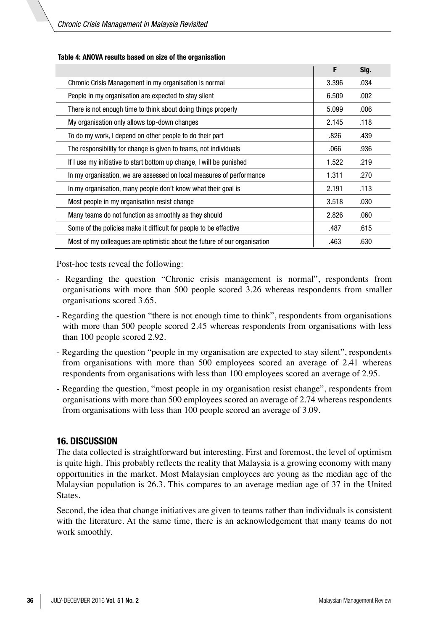|                                                                           | F     | Sig. |
|---------------------------------------------------------------------------|-------|------|
| Chronic Crisis Management in my organisation is normal                    | 3.396 | .034 |
| People in my organisation are expected to stay silent                     | 6.509 | .002 |
| There is not enough time to think about doing things properly             | 5.099 | .006 |
| My organisation only allows top-down changes                              | 2.145 | .118 |
| To do my work, I depend on other people to do their part                  | .826  | .439 |
| The responsibility for change is given to teams, not individuals          | .066  | .936 |
| If I use my initiative to start bottom up change, I will be punished      | 1.522 | .219 |
| In my organisation, we are assessed on local measures of performance      | 1.311 | .270 |
| In my organisation, many people don't know what their goal is             | 2.191 | .113 |
| Most people in my organisation resist change                              | 3.518 | .030 |
| Many teams do not function as smoothly as they should                     | 2.826 | .060 |
| Some of the policies make it difficult for people to be effective         | .487  | .615 |
| Most of my colleagues are optimistic about the future of our organisation | .463  | .630 |

#### **Table 4: ANOVA results based on size of the organisation**

Post-hoc tests reveal the following:

- Regarding the question "Chronic crisis management is normal", respondents from organisations with more than 500 people scored 3.26 whereas respondents from smaller organisations scored 3.65.
- Regarding the question "there is not enough time to think", respondents from organisations with more than 500 people scored 2.45 whereas respondents from organisations with less than 100 people scored 2.92.
- Regarding the question "people in my organisation are expected to stay silent", respondents from organisations with more than 500 employees scored an average of 2.41 whereas respondents from organisations with less than 100 employees scored an average of 2.95.
- Regarding the question, "most people in my organisation resist change", respondents from organisations with more than 500 employees scored an average of 2.74 whereas respondents from organisations with less than 100 people scored an average of 3.09.

#### **16. DISCUSSION**

The data collected is straightforward but interesting. First and foremost, the level of optimism is quite high. This probably reflects the reality that Malaysia is a growing economy with many opportunities in the market. Most Malaysian employees are young as the median age of the Malaysian population is 26.3. This compares to an average median age of 37 in the United States.

Second, the idea that change initiatives are given to teams rather than individuals is consistent with the literature. At the same time, there is an acknowledgement that many teams do not work smoothly.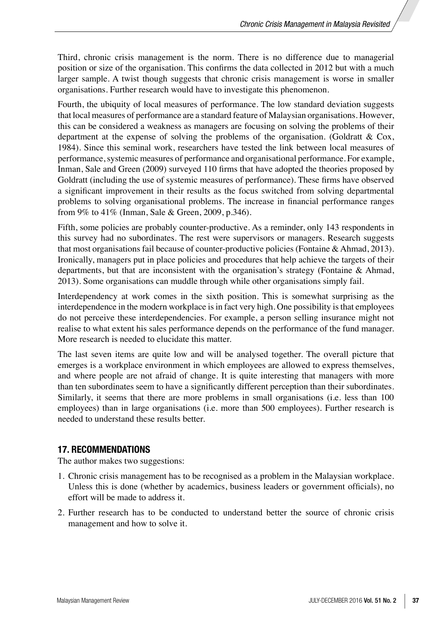Third, chronic crisis management is the norm. There is no difference due to managerial position or size of the organisation. This confirms the data collected in 2012 but with a much larger sample. A twist though suggests that chronic crisis management is worse in smaller organisations. Further research would have to investigate this phenomenon.

Fourth, the ubiquity of local measures of performance. The low standard deviation suggests that local measures of performance are a standard feature of Malaysian organisations. However, this can be considered a weakness as managers are focusing on solving the problems of their department at the expense of solving the problems of the organisation. (Goldratt & Cox, 1984). Since this seminal work, researchers have tested the link between local measures of performance, systemic measures of performance and organisational performance. For example, Inman, Sale and Green (2009) surveyed 110 firms that have adopted the theories proposed by Goldratt (including the use of systemic measures of performance). These firms have observed a significant improvement in their results as the focus switched from solving departmental problems to solving organisational problems. The increase in financial performance ranges from 9% to 41% (Inman, Sale & Green, 2009, p.346).

Fifth, some policies are probably counter-productive. As a reminder, only 143 respondents in this survey had no subordinates. The rest were supervisors or managers. Research suggests that most organisations fail because of counter-productive policies (Fontaine & Ahmad, 2013). Ironically, managers put in place policies and procedures that help achieve the targets of their departments, but that are inconsistent with the organisation's strategy (Fontaine & Ahmad, 2013). Some organisations can muddle through while other organisations simply fail.

Interdependency at work comes in the sixth position. This is somewhat surprising as the interdependence in the modern workplace is in fact very high. One possibility is that employees do not perceive these interdependencies. For example, a person selling insurance might not realise to what extent his sales performance depends on the performance of the fund manager. More research is needed to elucidate this matter.

The last seven items are quite low and will be analysed together. The overall picture that emerges is a workplace environment in which employees are allowed to express themselves, and where people are not afraid of change. It is quite interesting that managers with more than ten subordinates seem to have a significantly different perception than their subordinates. Similarly, it seems that there are more problems in small organisations (i.e. less than 100 employees) than in large organisations (i.e. more than 500 employees). Further research is needed to understand these results better.

#### **17. RECOMMENDATIONS**

The author makes two suggestions:

- 1. Chronic crisis management has to be recognised as a problem in the Malaysian workplace. Unless this is done (whether by academics, business leaders or government officials), no effort will be made to address it.
- 2. Further research has to be conducted to understand better the source of chronic crisis management and how to solve it.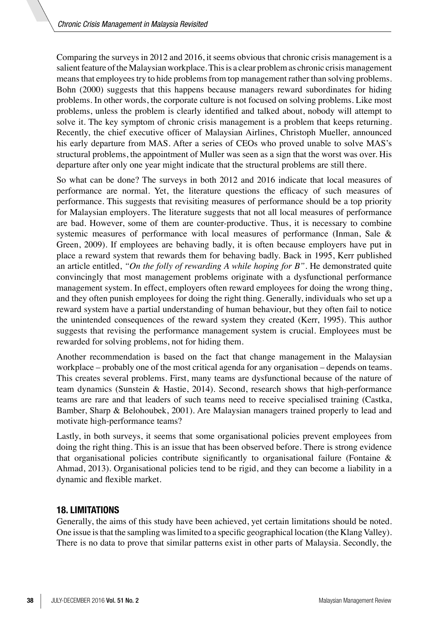Comparing the surveys in 2012 and 2016, it seems obvious that chronic crisis management is a salient feature of the Malaysian workplace. This is a clear problem as chronic crisis management means that employees try to hide problems from top management rather than solving problems. Bohn (2000) suggests that this happens because managers reward subordinates for hiding problems. In other words, the corporate culture is not focused on solving problems. Like most problems, unless the problem is clearly identified and talked about, nobody will attempt to solve it. The key symptom of chronic crisis management is a problem that keeps returning. Recently, the chief executive officer of Malaysian Airlines, Christoph Mueller, announced his early departure from MAS. After a series of CEOs who proved unable to solve MAS's structural problems, the appointment of Muller was seen as a sign that the worst was over. His departure after only one year might indicate that the structural problems are still there.

So what can be done? The surveys in both 2012 and 2016 indicate that local measures of performance are normal. Yet, the literature questions the efficacy of such measures of performance. This suggests that revisiting measures of performance should be a top priority for Malaysian employers. The literature suggests that not all local measures of performance are bad. However, some of them are counter-productive. Thus, it is necessary to combine systemic measures of performance with local measures of performance (Inman, Sale & Green, 2009). If employees are behaving badly, it is often because employers have put in place a reward system that rewards them for behaving badly. Back in 1995, Kerr published an article entitled, *"On the folly of rewarding A while hoping for B"*. He demonstrated quite convincingly that most management problems originate with a dysfunctional performance management system. In effect, employers often reward employees for doing the wrong thing, and they often punish employees for doing the right thing. Generally, individuals who set up a reward system have a partial understanding of human behaviour, but they often fail to notice the unintended consequences of the reward system they created (Kerr, 1995). This author suggests that revising the performance management system is crucial. Employees must be rewarded for solving problems, not for hiding them.

Another recommendation is based on the fact that change management in the Malaysian workplace – probably one of the most critical agenda for any organisation – depends on teams. This creates several problems. First, many teams are dysfunctional because of the nature of team dynamics (Sunstein & Hastie, 2014). Second, research shows that high-performance teams are rare and that leaders of such teams need to receive specialised training (Castka, Bamber, Sharp & Belohoubek, 2001). Are Malaysian managers trained properly to lead and motivate high-performance teams?

Lastly, in both surveys, it seems that some organisational policies prevent employees from doing the right thing. This is an issue that has been observed before. There is strong evidence that organisational policies contribute significantly to organisational failure (Fontaine & Ahmad, 2013). Organisational policies tend to be rigid, and they can become a liability in a dynamic and flexible market.

## **18. LIMITATIONS**

Generally, the aims of this study have been achieved, yet certain limitations should be noted. One issue is that the sampling was limited to a specific geographical location (the Klang Valley). There is no data to prove that similar patterns exist in other parts of Malaysia. Secondly, the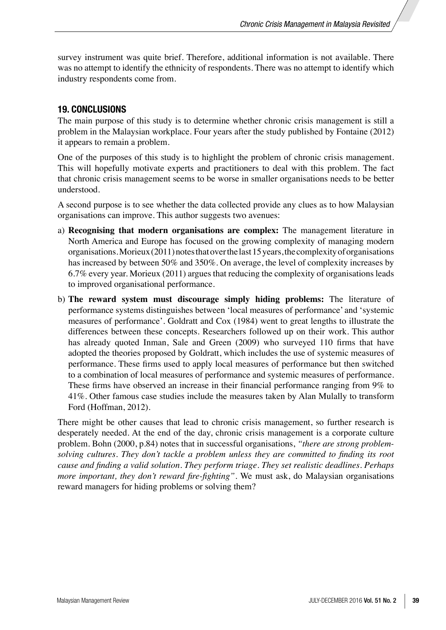survey instrument was quite brief. Therefore, additional information is not available. There was no attempt to identify the ethnicity of respondents. There was no attempt to identify which industry respondents come from.

## **19. CONCLUSIONS**

The main purpose of this study is to determine whether chronic crisis management is still a problem in the Malaysian workplace. Four years after the study published by Fontaine (2012) it appears to remain a problem.

One of the purposes of this study is to highlight the problem of chronic crisis management. This will hopefully motivate experts and practitioners to deal with this problem. The fact that chronic crisis management seems to be worse in smaller organisations needs to be better understood.

A second purpose is to see whether the data collected provide any clues as to how Malaysian organisations can improve. This author suggests two avenues:

- a) **Recognising that modern organisations are complex:** The management literature in North America and Europe has focused on the growing complexity of managing modern organisations. Morieux (2011) notes that over the last 15 years, the complexity of organisations has increased by between 50% and 350%. On average, the level of complexity increases by 6.7% every year. Morieux (2011) argues that reducing the complexity of organisations leads to improved organisational performance.
- b) **The reward system must discourage simply hiding problems:** The literature of performance systems distinguishes between 'local measures of performance' and 'systemic measures of performance'. Goldratt and Cox (1984) went to great lengths to illustrate the differences between these concepts. Researchers followed up on their work. This author has already quoted Inman, Sale and Green (2009) who surveyed 110 firms that have adopted the theories proposed by Goldratt, which includes the use of systemic measures of performance. These firms used to apply local measures of performance but then switched to a combination of local measures of performance and systemic measures of performance. These firms have observed an increase in their financial performance ranging from 9% to 41%. Other famous case studies include the measures taken by Alan Mulally to transform Ford (Hoffman, 2012).

There might be other causes that lead to chronic crisis management, so further research is desperately needed. At the end of the day, chronic crisis management is a corporate culture problem. Bohn (2000, p.84) notes that in successful organisations, *"there are strong problemsolving cultures. They don't tackle a problem unless they are committed to finding its root cause and finding a valid solution. They perform triage. They set realistic deadlines. Perhaps more important, they don't reward fire-fighting"*. We must ask, do Malaysian organisations reward managers for hiding problems or solving them?